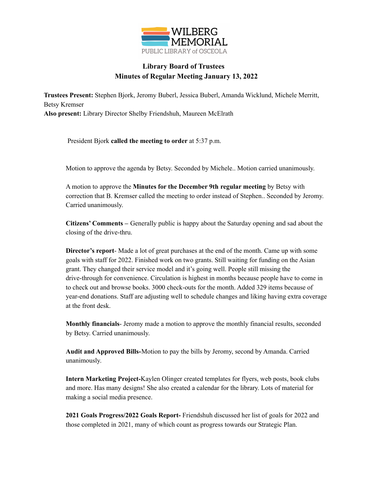

## **Library Board of Trustees Minutes of Regular Meeting January 13, 2022**

**Trustees Present:** Stephen Bjork, Jeromy Buberl, Jessica Buberl, Amanda Wicklund, Michele Merritt, Betsy Kremser **Also present:** Library Director Shelby Friendshuh, Maureen McElrath

President Bjork **called the meeting to order** at 5:37 p.m.

Motion to approve the agenda by Betsy. Seconded by Michele.. Motion carried unanimously.

A motion to approve the **Minutes for the December 9th regular meeting** by Betsy with correction that B. Kremser called the meeting to order instead of Stephen.. Seconded by Jeromy. Carried unanimously.

**Citizens' Comments –** Generally public is happy about the Saturday opening and sad about the closing of the drive-thru.

**Director's report**- Made a lot of great purchases at the end of the month. Came up with some goals with staff for 2022. Finished work on two grants. Still waiting for funding on the Asian grant. They changed their service model and it's going well. People still missing the drive-through for convenience. Circulation is highest in months because people have to come in to check out and browse books. 3000 check-outs for the month. Added 329 items because of year-end donations. Staff are adjusting well to schedule changes and liking having extra coverage at the front desk.

**Monthly financials**- Jeromy made a motion to approve the monthly financial results, seconded by Betsy. Carried unanimously.

**Audit and Approved Bills-**Motion to pay the bills by Jeromy, second by Amanda. Carried unanimously.

**Intern Marketing Project-**Kaylen Olinger created templates for flyers, web posts, book clubs and more. Has many designs! She also created a calendar for the library. Lots of material for making a social media presence.

**2021 Goals Progress/2022 Goals Report-** Friendshuh discussed her list of goals for 2022 and those completed in 2021, many of which count as progress towards our Strategic Plan.